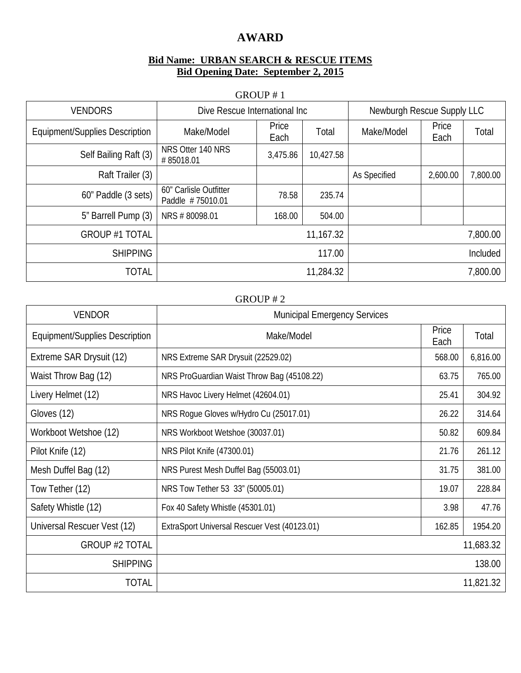# **AWARD**

#### **Bid Name: URBAN SEARCH & RESCUE ITEMS Bid Opening Date: September 2, 2015**

### GROUP # 1

| <b>VENDORS</b>                 | Dive Rescue International Inc              |               | Newburgh Rescue Supply LLC |              |               |          |
|--------------------------------|--------------------------------------------|---------------|----------------------------|--------------|---------------|----------|
| Equipment/Supplies Description | Make/Model                                 | Price<br>Each | Total                      | Make/Model   | Price<br>Each | Total    |
| Self Bailing Raft (3)          | NRS Otter 140 NRS<br>#85018.01             | 3,475.86      | 10,427.58                  |              |               |          |
| Raft Trailer (3)               |                                            |               |                            | As Specified | 2,600.00      | 7,800.00 |
| 60" Paddle (3 sets)            | 60" Carlisle Outfitter<br>Paddle #75010.01 | 78.58         | 235.74                     |              |               |          |
| 5" Barrell Pump (3)            | NRS #80098.01                              | 168.00        | 504.00                     |              |               |          |
| <b>GROUP #1 TOTAL</b>          |                                            |               | 11,167.32                  |              |               | 7,800.00 |
| <b>SHIPPING</b>                |                                            |               | 117.00                     |              |               | Included |
| TOTAL                          |                                            |               | 11,284.32                  |              |               | 7,800.00 |

#### GROUP # 2

| <b>VENDOR</b>                  | <b>Municipal Emergency Services</b>          |        |           |
|--------------------------------|----------------------------------------------|--------|-----------|
| Equipment/Supplies Description | Make/Model                                   |        | Total     |
| Extreme SAR Drysuit (12)       | NRS Extreme SAR Drysuit (22529.02)           | 568.00 | 6,816.00  |
| Waist Throw Bag (12)           | NRS ProGuardian Waist Throw Bag (45108.22)   | 63.75  | 765.00    |
| Livery Helmet (12)             | NRS Havoc Livery Helmet (42604.01)           | 25.41  | 304.92    |
| Gloves (12)                    | NRS Roque Gloves w/Hydro Cu (25017.01)       | 26.22  | 314.64    |
| Workboot Wetshoe (12)          | NRS Workboot Wetshoe (30037.01)              | 50.82  | 609.84    |
| Pilot Knife (12)               | NRS Pilot Knife (47300.01)                   | 21.76  | 261.12    |
| Mesh Duffel Bag (12)           | NRS Purest Mesh Duffel Bag (55003.01)        | 31.75  | 381.00    |
| Tow Tether (12)                | NRS Tow Tether 53 33" (50005.01)             | 19.07  | 228.84    |
| Safety Whistle (12)            | Fox 40 Safety Whistle (45301.01)             | 3.98   | 47.76     |
| Universal Rescuer Vest (12)    | ExtraSport Universal Rescuer Vest (40123.01) | 162.85 | 1954.20   |
| <b>GROUP #2 TOTAL</b>          |                                              |        | 11,683.32 |
| <b>SHIPPING</b>                |                                              |        | 138.00    |
| <b>TOTAL</b>                   |                                              |        | 11,821.32 |